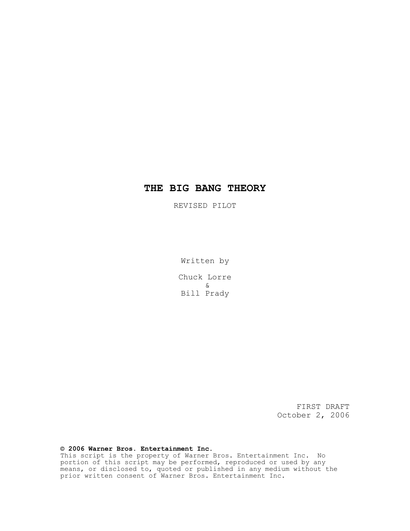# *THE BIG BANG THEORY*

REVISED PILOT

Written by

Chuck Lorre & Bill Prady

> FIRST DRAFT October 2, 2006

# *© 2006 Warner Bros. Entertainment Inc.*

This script is the property of Warner Bros. Entertainment Inc. No portion of this script may be performed, reproduced or used by any means, or disclosed to, quoted or published in any medium without the prior written consent of Warner Bros. Entertainment Inc.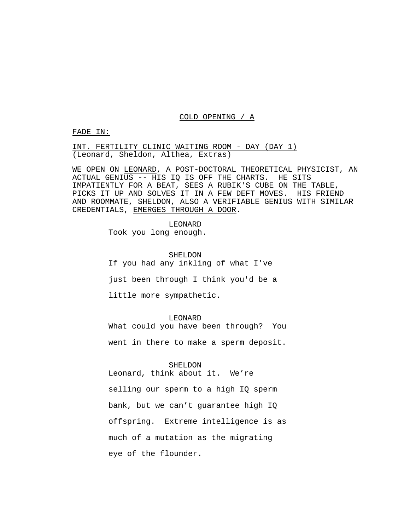## COLD OPENING / A

FADE IN:

INT. FERTILITY CLINIC WAITING ROOM - DAY (DAY 1) (Leonard, Sheldon, Althea, Extras)

WE OPEN ON LEONARD, A POST-DOCTORAL THEORETICAL PHYSICIST, AN ACTUAL GENIUS -- HIS IQ IS OFF THE CHARTS. HE SITS IMPATIENTLY FOR A BEAT, SEES A RUBIK'S CUBE ON THE TABLE, PICKS IT UP AND SOLVES IT IN A FEW DEFT MOVES. HIS FRIEND AND ROOMMATE, SHELDON, ALSO A VERIFIABLE GENIUS WITH SIMILAR CREDENTIALS, EMERGES THROUGH A DOOR.

> LEONARD Took you long enough.

> > SHELDON

If you had any inkling of what I've

just been through I think you'd be a

little more sympathetic.

LEONARD

What could you have been through? You

went in there to make a sperm deposit.

SHELDON

Leonard, think about it. We're selling our sperm to a high IQ sperm bank, but we can't guarantee high IQ offspring. Extreme intelligence is as much of a mutation as the migrating eye of the flounder.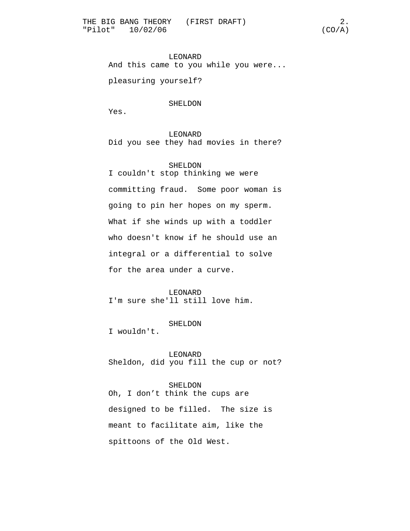LEONARD And this came to you while you were...

pleasuring yourself?

# SHELDON

Yes.

LEONARD Did you see they had movies in there?

SHELDON I couldn't stop thinking we were committing fraud. Some poor woman is going to pin her hopes on my sperm. What if she winds up with a toddler who doesn't know if he should use an integral or a differential to solve for the area under a curve.

LEONARD I'm sure she'll still love him.

#### SHELDON

I wouldn't.

# LEONARD

Sheldon, did you fill the cup or not?

#### SHELDON

Oh, I don't think the cups are designed to be filled. The size is meant to facilitate aim, like the spittoons of the Old West.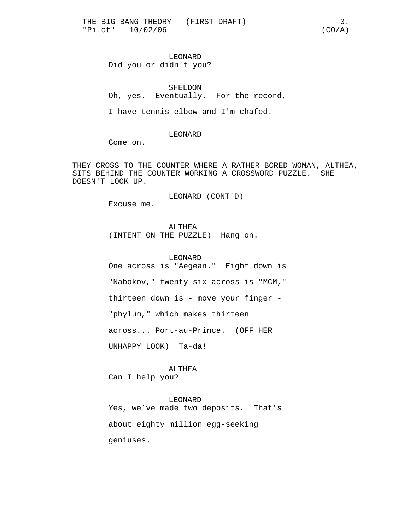# LEONARD Did you or didn't you?

SHELDON Oh, yes. Eventually. For the record,

I have tennis elbow and I'm chafed.

LEONARD

Come on.

THEY CROSS TO THE COUNTER WHERE A RATHER BORED WOMAN, ALTHEA, SITS BEHIND THE COUNTER WORKING A CROSSWORD PUZZLE. SHE DOESN'T LOOK UP.

LEONARD (CONT'D)

Excuse me.

ALTHEA (INTENT ON THE PUZZLE) Hang on.

LEONARD One across is "Aegean." Eight down is "Nabokov," twenty-six across is "MCM," thirteen down is - move your finger - "phylum," which makes thirteen across... Port-au-Prince. (OFF HER UNHAPPY LOOK) Ta-da!

ALTHEA Can I help you?

LEONARD Yes, we've made two deposits. That's about eighty million egg-seeking geniuses.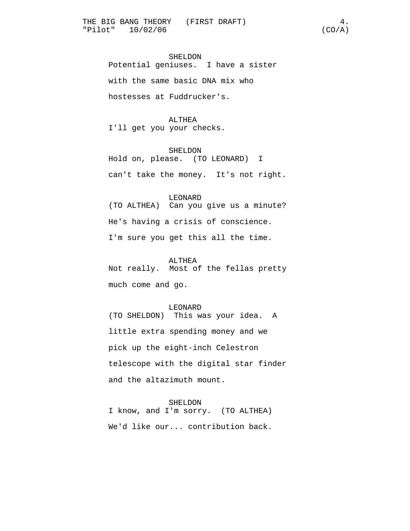SHELDON Potential geniuses. I have a sister with the same basic DNA mix who hostesses at Fuddrucker's.

# ALTHEA

I'll get you your checks.

#### SHELDON

Hold on, please. (TO LEONARD) I can't take the money. It's not right.

#### LEONARD

(TO ALTHEA) Can you give us a minute? He's having a crisis of conscience. I'm sure you get this all the time.

#### ALTHEA

Not really. Most of the fellas pretty much come and go.

#### LEONARD

(TO SHELDON) This was your idea. A little extra spending money and we pick up the eight-inch Celestron telescope with the digital star finder and the altazimuth mount.

#### SHELDON

I know, and I'm sorry. (TO ALTHEA) We'd like our... contribution back.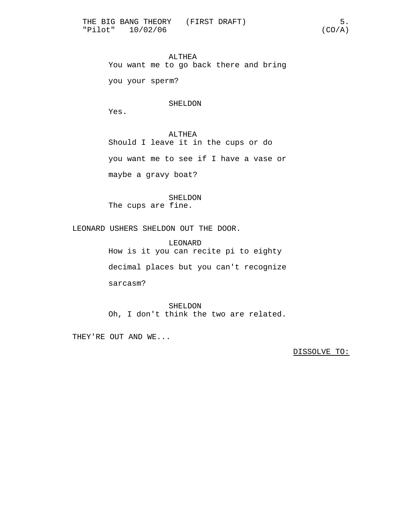ALTHEA You want me to go back there and bring you your sperm?

## SHELDON

Yes.

ALTHEA Should I leave it in the cups or do you want me to see if I have a vase or maybe a gravy boat?

SHELDON The cups are fine.

LEONARD USHERS SHELDON OUT THE DOOR.

LEONARD How is it you can recite pi to eighty decimal places but you can't recognize

sarcasm?

SHELDON Oh, I don't think the two are related.

THEY'RE OUT AND WE...

DISSOLVE TO: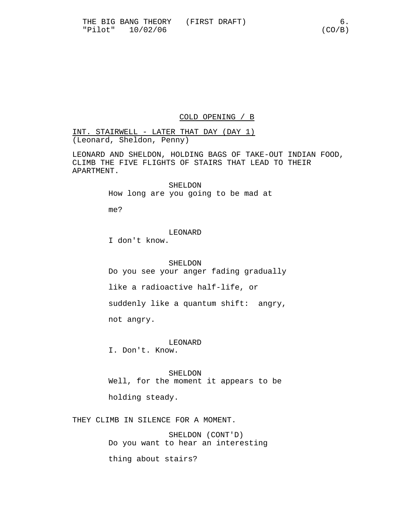# COLD OPENING / B

INT. STAIRWELL - LATER THAT DAY (DAY 1) (Leonard, Sheldon, Penny)

LEONARD AND SHELDON, HOLDING BAGS OF TAKE-OUT INDIAN FOOD, CLIMB THE FIVE FLIGHTS OF STAIRS THAT LEAD TO THEIR APARTMENT.

> SHELDON How long are you going to be mad at

me?

LEONARD

I don't know.

SHELDON

Do you see your anger fading gradually

like a radioactive half-life, or

suddenly like a quantum shift: angry,

not angry.

LEONARD

I. Don't. Know.

SHELDON Well, for the moment it appears to be

holding steady.

THEY CLIMB IN SILENCE FOR A MOMENT.

SHELDON (CONT'D) Do you want to hear an interesting

thing about stairs?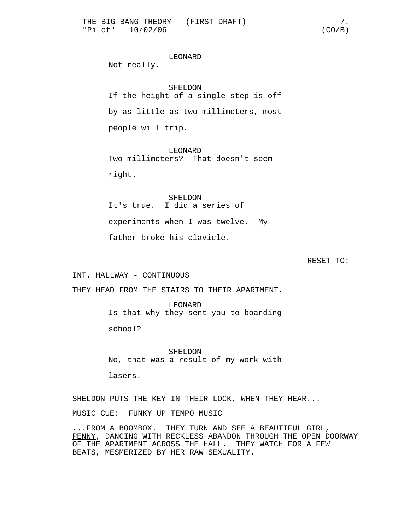# LEONARD

Not really.

SHELDON If the height of a single step is off by as little as two millimeters, most people will trip.

LEONARD Two millimeters? That doesn't seem right.

SHELDON It's true. I did a series of experiments when I was twelve. My father broke his clavicle.

#### RESET TO:

# INT. HALLWAY - CONTINUOUS

THEY HEAD FROM THE STAIRS TO THEIR APARTMENT.

LEONARD Is that why they sent you to boarding

school?

SHELDON No, that was a result of my work with

lasers.

SHELDON PUTS THE KEY IN THEIR LOCK, WHEN THEY HEAR...

# MUSIC CUE: FUNKY UP TEMPO MUSIC

...FROM A BOOMBOX. THEY TURN AND SEE A BEAUTIFUL GIRL, PENNY, DANCING WITH RECKLESS ABANDON THROUGH THE OPEN DOORWAY OF THE APARTMENT ACROSS THE HALL. THEY WATCH FOR A FEW BEATS, MESMERIZED BY HER RAW SEXUALITY.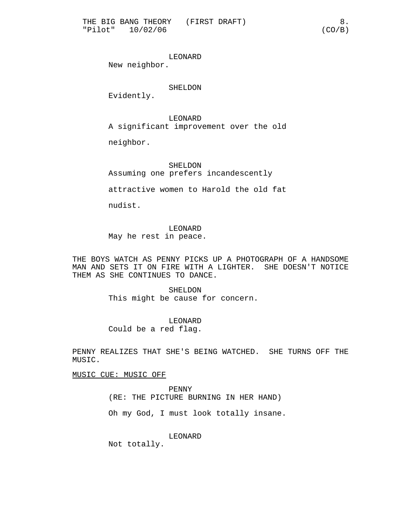LEONARD

New neighbor.

SHELDON

Evidently.

LEONARD A significant improvement over the old

neighbor.

SHELDON Assuming one prefers incandescently

attractive women to Harold the old fat

nudist.

LEONARD May he rest in peace.

THE BOYS WATCH AS PENNY PICKS UP A PHOTOGRAPH OF A HANDSOME MAN AND SETS IT ON FIRE WITH A LIGHTER. SHE DOESN'T NOTICE THEM AS SHE CONTINUES TO DANCE.

> SHELDON This might be cause for concern.

LEONARD Could be a red flag.

PENNY REALIZES THAT SHE'S BEING WATCHED. SHE TURNS OFF THE MUSIC.

MUSIC CUE: MUSIC OFF

PENNY (RE: THE PICTURE BURNING IN HER HAND)

Oh my God, I must look totally insane.

LEONARD

Not totally.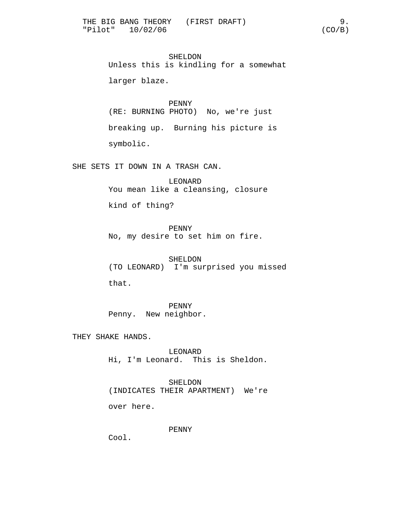SHELDON Unless this is kindling for a somewhat larger blaze.

PENNY (RE: BURNING PHOTO) No, we're just breaking up. Burning his picture is symbolic.

SHE SETS IT DOWN IN A TRASH CAN.

LEONARD You mean like a cleansing, closure

kind of thing?

PENNY

No, my desire to set him on fire.

SHELDON (TO LEONARD) I'm surprised you missed

that.

PENNY Penny. New neighbor.

THEY SHAKE HANDS.

LEONARD Hi, I'm Leonard. This is Sheldon.

SHELDON (INDICATES THEIR APARTMENT) We're

over here.

PENNY

Cool.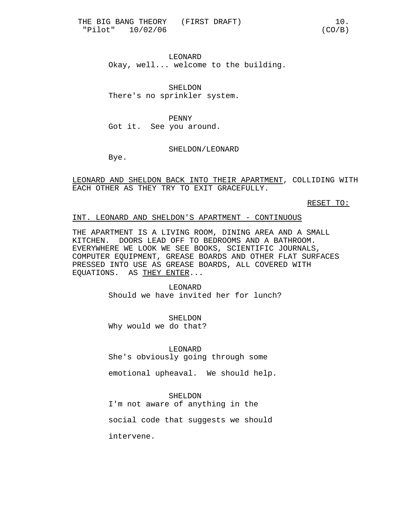LEONARD Okay, well... welcome to the building.

SHELDON There's no sprinkler system.

PENNY Got it. See you around.

## SHELDON/LEONARD

Bye.

LEONARD AND SHELDON BACK INTO THEIR APARTMENT, COLLIDING WITH EACH OTHER AS THEY TRY TO EXIT GRACEFULLY.

RESET TO:

## INT. LEONARD AND SHELDON'S APARTMENT - CONTINUOUS

THE APARTMENT IS A LIVING ROOM, DINING AREA AND A SMALL KITCHEN. DOORS LEAD OFF TO BEDROOMS AND A BATHROOM. EVERYWHERE WE LOOK WE SEE BOOKS, SCIENTIFIC JOURNALS, COMPUTER EQUIPMENT, GREASE BOARDS AND OTHER FLAT SURFACES PRESSED INTO USE AS GREASE BOARDS, ALL COVERED WITH EQUATIONS. AS THEY ENTER...

> LEONARD Should we have invited her for lunch?

SHELDON Why would we do that?

LEONARD She's obviously going through some

emotional upheaval. We should help.

#### SHELDON

I'm not aware of anything in the

social code that suggests we should

intervene.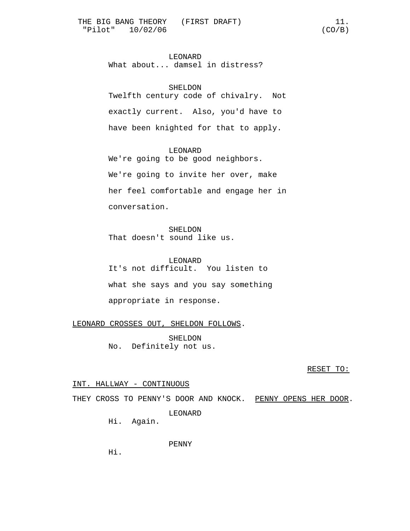# LEONARD

What about... damsel in distress?

## SHELDON

Twelfth century code of chivalry. Not exactly current. Also, you'd have to have been knighted for that to apply.

## LEONARD

We're going to be good neighbors. We're going to invite her over, make her feel comfortable and engage her in conversation.

SHELDON That doesn't sound like us.

LEONARD It's not difficult. You listen to what she says and you say something appropriate in response.

LEONARD CROSSES OUT, SHELDON FOLLOWS.

SHELDON No. Definitely not us.

RESET TO:

# INT. HALLWAY - CONTINUOUS

THEY CROSS TO PENNY'S DOOR AND KNOCK. PENNY OPENS HER DOOR.

LEONARD

Hi. Again.

PENNY

Hi.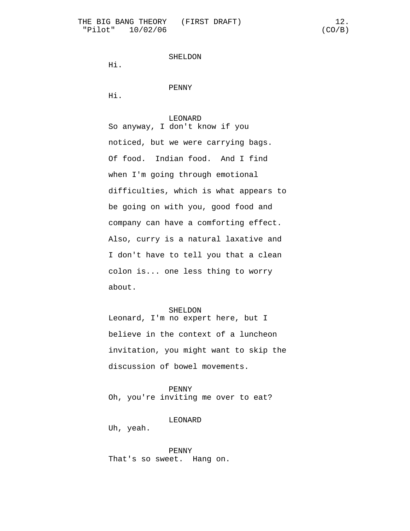```
SHELDON
```
Hi.

PENNY

Hi.

#### LEONARD

So anyway, I don't know if you noticed, but we were carrying bags. Of food. Indian food. And I find when I'm going through emotional difficulties, which is what appears to be going on with you, good food and company can have a comforting effect. Also, curry is a natural laxative and I don't have to tell you that a clean colon is... one less thing to worry about.

#### SHELDON

Leonard, I'm no expert here, but I believe in the context of a luncheon invitation, you might want to skip the discussion of bowel movements.

## PENNY

Oh, you're inviting me over to eat?

## LEONARD

Uh, yeah.

PENNY That's so sweet. Hang on.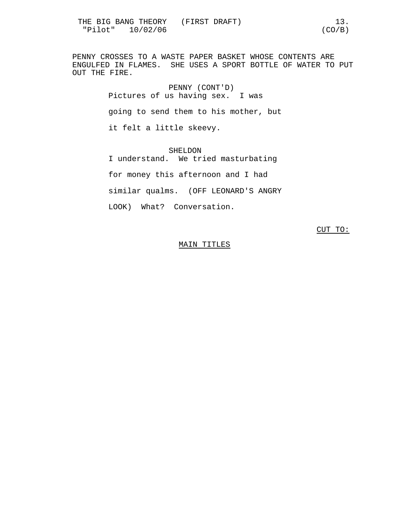PENNY CROSSES TO A WASTE PAPER BASKET WHOSE CONTENTS ARE ENGULFED IN FLAMES. SHE USES A SPORT BOTTLE OF WATER TO PUT OUT THE FIRE.

> PENNY (CONT'D) Pictures of us having sex. I was going to send them to his mother, but it felt a little skeevy.

> SHELDON I understand. We tried masturbating for money this afternoon and I had similar qualms. (OFF LEONARD'S ANGRY LOOK) What? Conversation.

> > CUT TO:

## MAIN TITLES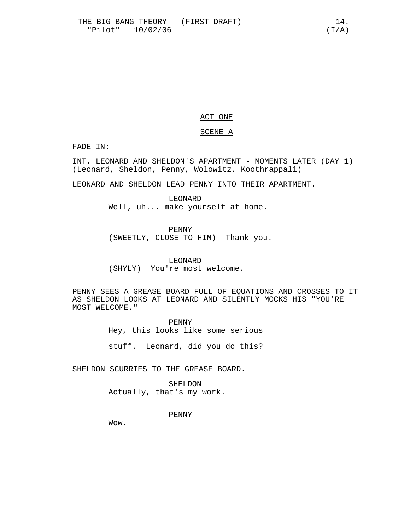# ACT ONE

# SCENE A

FADE IN:

INT. LEONARD AND SHELDON'S APARTMENT - MOMENTS LATER (DAY 1) (Leonard, Sheldon, Penny, Wolowitz, Koothrappali)

LEONARD AND SHELDON LEAD PENNY INTO THEIR APARTMENT.

LEONARD Well, uh... make yourself at home.

PENNY

(SWEETLY, CLOSE TO HIM) Thank you.

LEONARD (SHYLY) You're most welcome.

PENNY SEES A GREASE BOARD FULL OF EQUATIONS AND CROSSES TO IT AS SHELDON LOOKS AT LEONARD AND SILENTLY MOCKS HIS "YOU'RE MOST WELCOME."

> PENNY Hey, this looks like some serious

> stuff. Leonard, did you do this?

SHELDON SCURRIES TO THE GREASE BOARD.

SHELDON Actually, that's my work.

PENNY

Wow.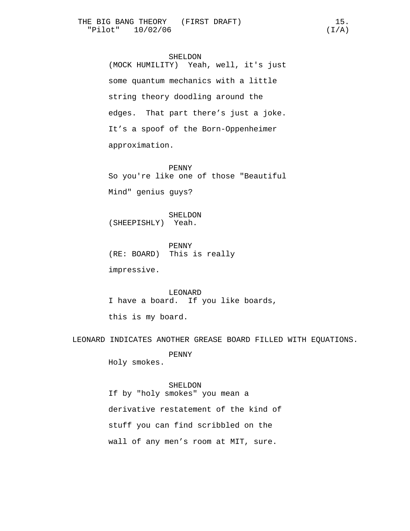# SHELDON

(MOCK HUMILITY) Yeah, well, it's just some quantum mechanics with a little string theory doodling around the edges. That part there's just a joke. It's a spoof of the Born-Oppenheimer approximation.

PENNY So you're like one of those "Beautiful Mind" genius guys?

SHELDON (SHEEPISHLY) Yeah.

PENNY (RE: BOARD) This is really

impressive.

LEONARD I have a board. If you like boards,

this is my board.

LEONARD INDICATES ANOTHER GREASE BOARD FILLED WITH EQUATIONS.

PENNY

Holy smokes.

# SHELDON

If by "holy smokes" you mean a

derivative restatement of the kind of

stuff you can find scribbled on the

wall of any men's room at MIT, sure.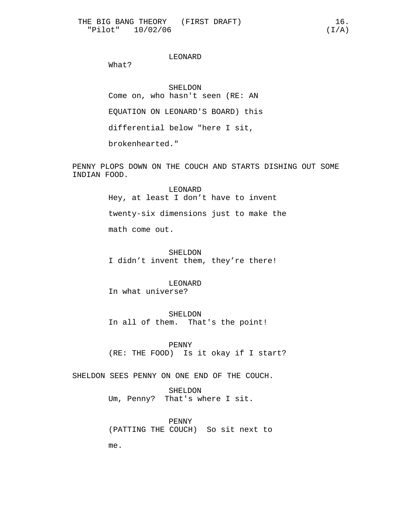# LEONARD

What?

SHELDON Come on, who hasn't seen (RE: AN EQUATION ON LEONARD'S BOARD) this differential below "here I sit,

brokenhearted."

PENNY PLOPS DOWN ON THE COUCH AND STARTS DISHING OUT SOME INDIAN FOOD.

> LEONARD Hey, at least I don't have to invent twenty-six dimensions just to make the math come out.

SHELDON I didn't invent them, they're there!

# LEONARD

In what universe?

SHELDON In all of them. That's the point!

PENNY (RE: THE FOOD) Is it okay if I start?

SHELDON SEES PENNY ON ONE END OF THE COUCH.

SHELDON Um, Penny? That's where I sit.

PENNY (PATTING THE COUCH) So sit next to

me.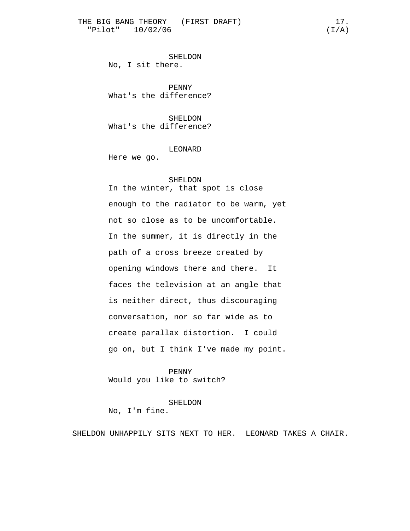SHELDON No, I sit there.

PENNY What's the difference?

SHELDON What's the difference?

LEONARD

Here we go.

#### SHELDON

In the winter, that spot is close enough to the radiator to be warm, yet not so close as to be uncomfortable. In the summer, it is directly in the path of a cross breeze created by opening windows there and there. It faces the television at an angle that is neither direct, thus discouraging conversation, nor so far wide as to create parallax distortion. I could go on, but I think I've made my point.

PENNY Would you like to switch?

SHELDON No, I'm fine.

SHELDON UNHAPPILY SITS NEXT TO HER. LEONARD TAKES A CHAIR.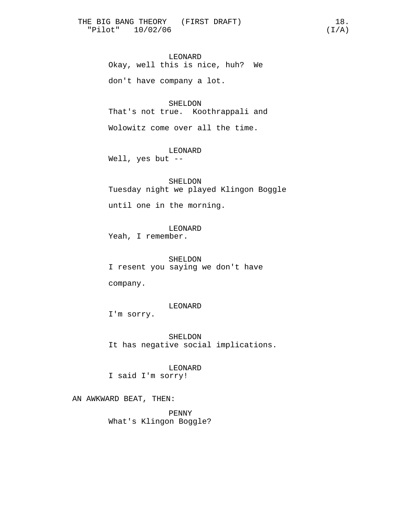LEONARD Okay, well this is nice, huh? We don't have company a lot.

SHELDON That's not true. Koothrappali and

Wolowitz come over all the time.

LEONARD

Well, yes but --

SHELDON

Tuesday night we played Klingon Boggle

until one in the morning.

LEONARD

Yeah, I remember.

SHELDON I resent you saying we don't have

company.

# LEONARD

I'm sorry.

SHELDON It has negative social implications.

LEONARD I said I'm sorry!

AN AWKWARD BEAT, THEN:

PENNY What's Klingon Boggle?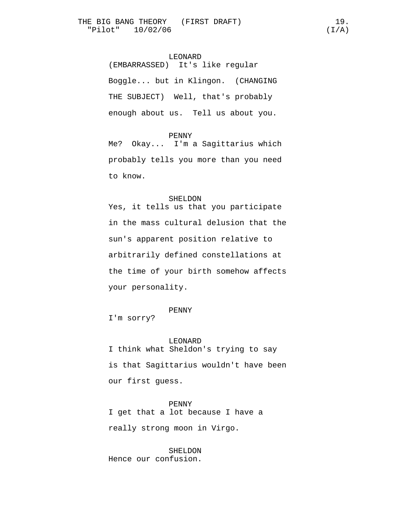(EMBARRASSED) It's like regular Boggle... but in Klingon. (CHANGING THE SUBJECT) Well, that's probably enough about us. Tell us about you.

#### PENNY

Me? Okay... I'm a Sagittarius which probably tells you more than you need to know.

## SHELDON

Yes, it tells us that you participate in the mass cultural delusion that the sun's apparent position relative to arbitrarily defined constellations at the time of your birth somehow affects your personality.

# PENNY

I'm sorry?

LEONARD I think what Sheldon's trying to say is that Sagittarius wouldn't have been our first guess.

PENNY I get that a lot because I have a really strong moon in Virgo.

SHELDON Hence our confusion.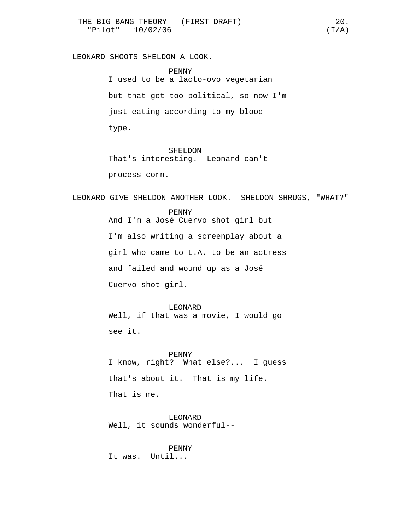LEONARD SHOOTS SHELDON A LOOK.

PENNY I used to be a lacto-ovo vegetarian but that got too political, so now I'm just eating according to my blood type.

SHELDON That's interesting. Leonard can't process corn.

LEONARD GIVE SHELDON ANOTHER LOOK. SHELDON SHRUGS, "WHAT?"

PENNY And I'm a José Cuervo shot girl but I'm also writing a screenplay about a girl who came to L.A. to be an actress and failed and wound up as a José Cuervo shot girl.

LEONARD Well, if that was a movie, I would go see it.

PENNY I know, right? What else?... I guess that's about it. That is my life. That is me.

LEONARD Well, it sounds wonderful--

PENNY It was. Until...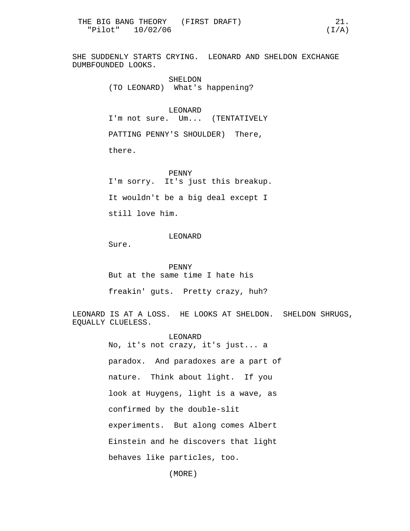SHE SUDDENLY STARTS CRYING. LEONARD AND SHELDON EXCHANGE DUMBFOUNDED LOOKS.

> SHELDON (TO LEONARD) What's happening?

LEONARD I'm not sure. Um... (TENTATIVELY

PATTING PENNY'S SHOULDER) There,

there.

PENNY I'm sorry. It's just this breakup. It wouldn't be a big deal except I still love him.

# LEONARD

Sure.

PENNY But at the same time I hate his

freakin' guts. Pretty crazy, huh?

LEONARD IS AT A LOSS. HE LOOKS AT SHELDON. SHELDON SHRUGS, EQUALLY CLUELESS.

> LEONARD No, it's not crazy, it's just... a paradox. And paradoxes are a part of nature. Think about light. If you look at Huygens, light is a wave, as confirmed by the double-slit experiments. But along comes Albert Einstein and he discovers that light behaves like particles, too.

> > (MORE)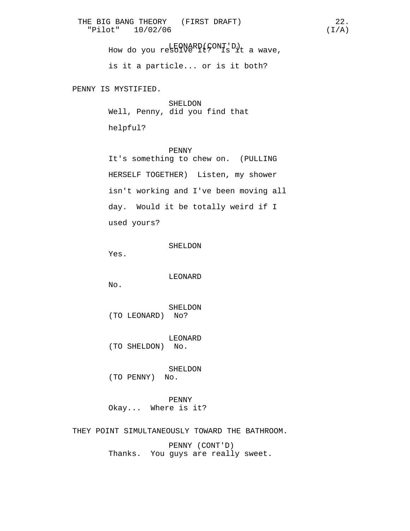LEONARD(CONT'D) How do you resolve it? Is it a wave,

is it a particle... or is it both?

PENNY IS MYSTIFIED.

SHELDON Well, Penny, did you find that

helpful?

PENNY It's something to chew on. (PULLING HERSELF TOGETHER) Listen, my shower isn't working and I've been moving all day. Would it be totally weird if I used yours?

Yes.

LEONARD

No.

SHELDON (TO LEONARD) No?

LEONARD (TO SHELDON) No.

SHELDON (TO PENNY) No.

PENNY Okay... Where is it?

THEY POINT SIMULTANEOUSLY TOWARD THE BATHROOM.

PENNY (CONT'D) Thanks. You guys are really sweet.

SHELDON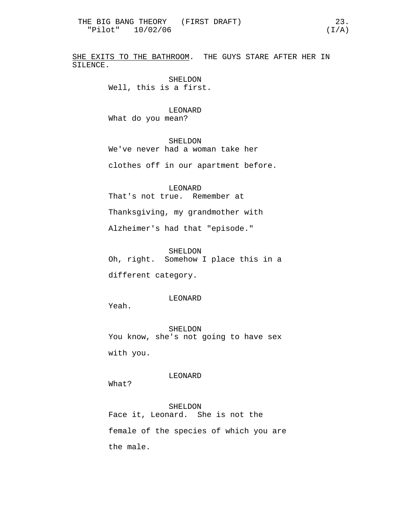SHE EXITS TO THE BATHROOM. THE GUYS STARE AFTER HER IN SILENCE.

> SHELDON Well, this is a first.

LEONARD What do you mean?

SHELDON We've never had a woman take her

clothes off in our apartment before.

LEONARD That's not true. Remember at

Thanksgiving, my grandmother with

Alzheimer's had that "episode."

SHELDON

Oh, right. Somehow I place this in a

different category.

LEONARD

Yeah.

SHELDON You know, she's not going to have sex

with you.

LEONARD

What?

SHELDON Face it, Leonard. She is not the female of the species of which you are the male.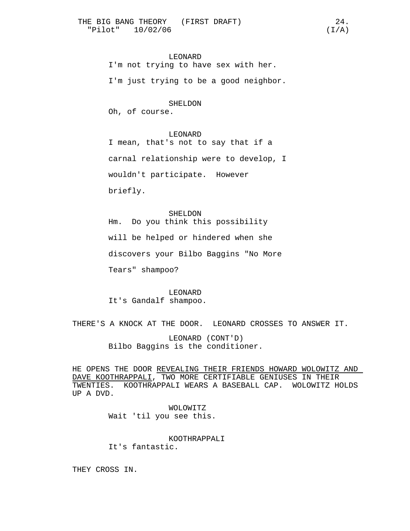LEONARD

I'm not trying to have sex with her.

I'm just trying to be a good neighbor.

#### SHELDON

Oh, of course.

#### LEONARD

I mean, that's not to say that if a carnal relationship were to develop, I wouldn't participate. However briefly.

SHELDON Hm. Do you think this possibility will be helped or hindered when she discovers your Bilbo Baggins "No More Tears" shampoo?

LEONARD It's Gandalf shampoo.

THERE'S A KNOCK AT THE DOOR. LEONARD CROSSES TO ANSWER IT.

LEONARD (CONT'D) Bilbo Baggins is the conditioner.

HE OPENS THE DOOR REVEALING THEIR FRIENDS HOWARD WOLOWITZ AND DAVE KOOTHRAPPALI, TWO MORE CERTIFIABLE GENIUSES IN THEIR TWENTIES. KOOTHRAPPALI WEARS A BASEBALL CAP. WOLOWITZ HOLDS UP A DVD.

> WOLOWITZ Wait 'til you see this.

KOOTHRAPPALI It's fantastic.

THEY CROSS IN.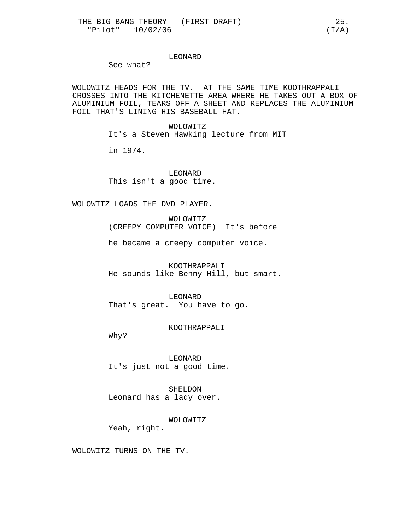# LEONARD

See what?

WOLOWITZ HEADS FOR THE TV. AT THE SAME TIME KOOTHRAPPALI CROSSES INTO THE KITCHENETTE AREA WHERE HE TAKES OUT A BOX OF ALUMINIUM FOIL, TEARS OFF A SHEET AND REPLACES THE ALUMINIUM FOIL THAT'S LINING HIS BASEBALL HAT.

> WOLOWITZ It's a Steven Hawking lecture from MIT

in 1974.

LEONARD This isn't a good time.

WOLOWITZ LOADS THE DVD PLAYER.

WOLOWITZ (CREEPY COMPUTER VOICE) It's before

he became a creepy computer voice.

KOOTHRAPPALI He sounds like Benny Hill, but smart.

LEONARD That's great. You have to go.

KOOTHRAPPALI

Why?

LEONARD It's just not a good time.

SHELDON Leonard has a lady over.

WOLOWITZ Yeah, right.

WOLOWITZ TURNS ON THE TV.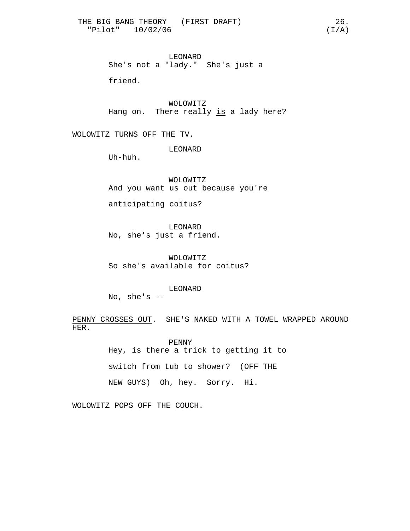LEONARD She's not a "lady." She's just a

friend.

WOLOWITZ Hang on. There really is a lady here?

WOLOWITZ TURNS OFF THE TV.

LEONARD

Uh-huh.

WOLOWITZ And you want us out because you're

anticipating coitus?

LEONARD No, she's just a friend.

WOLOWITZ So she's available for coitus?

LEONARD No, she's  $--$ 

PENNY CROSSES OUT. SHE'S NAKED WITH A TOWEL WRAPPED AROUND HER.

> PENNY Hey, is there a trick to getting it to switch from tub to shower? (OFF THE NEW GUYS) Oh, hey. Sorry. Hi.

WOLOWITZ POPS OFF THE COUCH.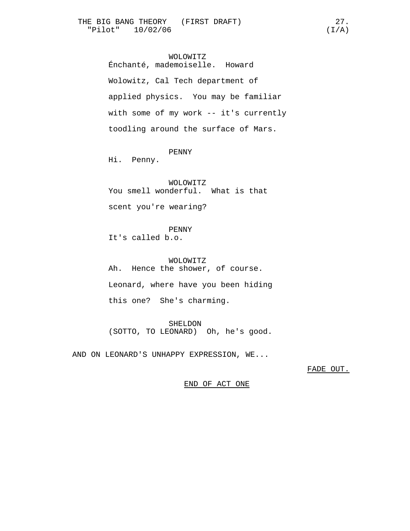# WOLOWITZ

Énchanté, mademoiselle. Howard Wolowitz, Cal Tech department of applied physics. You may be familiar with some of my work -- it's currently toodling around the surface of Mars.

## PENNY

Hi. Penny.

#### WOLOWITZ

You smell wonderful. What is that

scent you're wearing?

## PENNY

It's called b.o.

WOLOWITZ Ah. Hence the shower, of course. Leonard, where have you been hiding this one? She's charming.

SHELDON (SOTTO, TO LEONARD) Oh, he's good.

AND ON LEONARD'S UNHAPPY EXPRESSION, WE...

FADE OUT.

END OF ACT ONE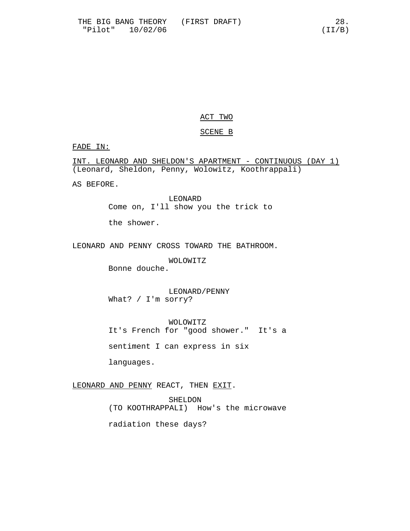# ACT TWO

# SCENE B

# FADE IN:

INT. LEONARD AND SHELDON'S APARTMENT - CONTINUOUS (DAY 1) (Leonard, Sheldon, Penny, Wolowitz, Koothrappali)

AS BEFORE.

LEONARD Come on, I'll show you the trick to

the shower.

LEONARD AND PENNY CROSS TOWARD THE BATHROOM.

WOLOWITZ

Bonne douche.

LEONARD/PENNY What? / I'm sorry?

WOLOWITZ It's French for "good shower." It's a

sentiment I can express in six

languages.

LEONARD AND PENNY REACT, THEN EXIT.

SHELDON (TO KOOTHRAPPALI) How's the microwave radiation these days?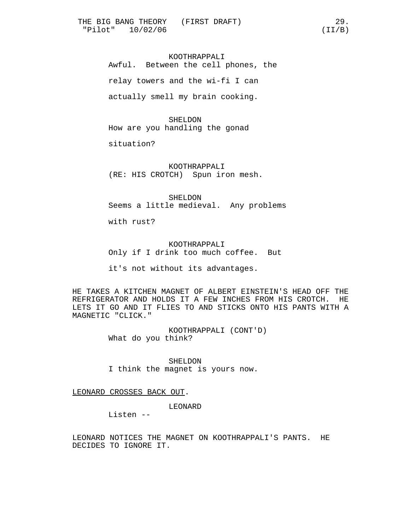KOOTHRAPPALI Awful. Between the cell phones, the relay towers and the wi-fi I can actually smell my brain cooking.

SHELDON How are you handling the gonad

situation?

KOOTHRAPPALI (RE: HIS CROTCH) Spun iron mesh.

SHELDON Seems a little medieval. Any problems

with rust?

KOOTHRAPPALI Only if I drink too much coffee. But

it's not without its advantages.

HE TAKES A KITCHEN MAGNET OF ALBERT EINSTEIN'S HEAD OFF THE REFRIGERATOR AND HOLDS IT A FEW INCHES FROM HIS CROTCH. HE LETS IT GO AND IT FLIES TO AND STICKS ONTO HIS PANTS WITH A MAGNETIC "CLICK."

> KOOTHRAPPALI (CONT'D) What do you think?

SHELDON I think the magnet is yours now.

LEONARD CROSSES BACK OUT.

LEONARD

Listen --

LEONARD NOTICES THE MAGNET ON KOOTHRAPPALI'S PANTS. HE DECIDES TO IGNORE IT.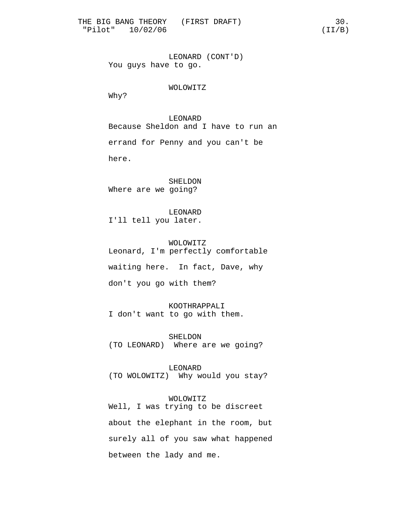LEONARD (CONT'D) You guys have to go.

WOLOWITZ

Why?

LEONARD Because Sheldon and I have to run an errand for Penny and you can't be here.

SHELDON Where are we going?

LEONARD I'll tell you later.

WOLOWITZ Leonard, I'm perfectly comfortable waiting here. In fact, Dave, why

don't you go with them?

KOOTHRAPPALI I don't want to go with them.

SHELDON (TO LEONARD) Where are we going?

LEONARD (TO WOLOWITZ) Why would you stay?

# WOLOWITZ

Well, I was trying to be discreet about the elephant in the room, but surely all of you saw what happened between the lady and me.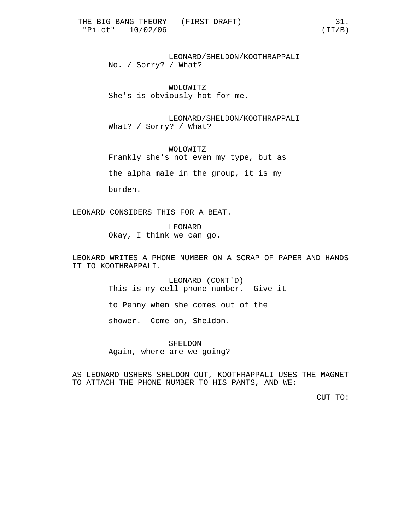LEONARD/SHELDON/KOOTHRAPPALI No. / Sorry? / What?

WOLOWITZ She's is obviously hot for me.

LEONARD/SHELDON/KOOTHRAPPALI What? / Sorry? / What?

WOLOWITZ Frankly she's not even my type, but as

the alpha male in the group, it is my

burden.

LEONARD CONSIDERS THIS FOR A BEAT.

LEONARD Okay, I think we can go.

LEONARD WRITES A PHONE NUMBER ON A SCRAP OF PAPER AND HANDS IT TO KOOTHRAPPALI.

> LEONARD (CONT'D) This is my cell phone number. Give it to Penny when she comes out of the shower. Come on, Sheldon.

SHELDON Again, where are we going?

AS LEONARD USHERS SHELDON OUT, KOOTHRAPPALI USES THE MAGNET TO ATTACH THE PHONE NUMBER TO HIS PANTS, AND WE:

CUT TO: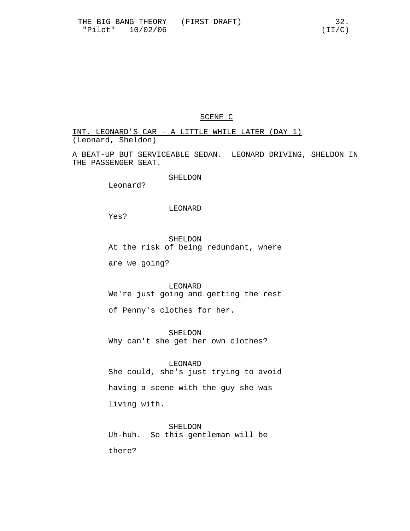SCENE C

INT. LEONARD'S CAR - A LITTLE WHILE LATER (DAY 1) (Leonard, Sheldon)

A BEAT-UP BUT SERVICEABLE SEDAN. LEONARD DRIVING, SHELDON IN THE PASSENGER SEAT.

SHELDON

Leonard?

## LEONARD

Yes?

SHELDON

At the risk of being redundant, where

are we going?

LEONARD We're just going and getting the rest

of Penny's clothes for her.

SHELDON Why can't she get her own clothes?

LEONARD She could, she's just trying to avoid having a scene with the guy she was living with.

SHELDON Uh-huh. So this gentleman will be

there?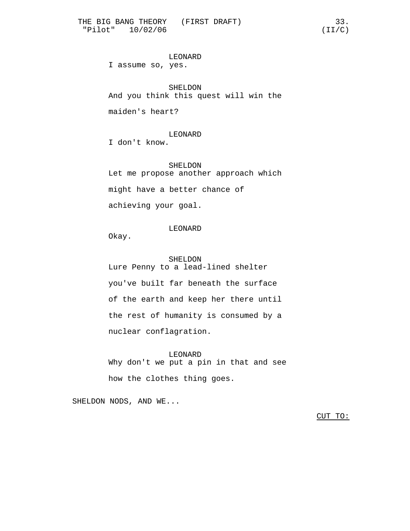LEONARD I assume so, yes.

SHELDON And you think this quest will win the

maiden's heart?

LEONARD I don't know.

SHELDON Let me propose another approach which might have a better chance of achieving your goal.

LEONARD

Okay.

SHELDON Lure Penny to a lead-lined shelter you've built far beneath the surface of the earth and keep her there until the rest of humanity is consumed by a nuclear conflagration.

LEONARD Why don't we put a pin in that and see how the clothes thing goes.

SHELDON NODS, AND WE...

CUT TO: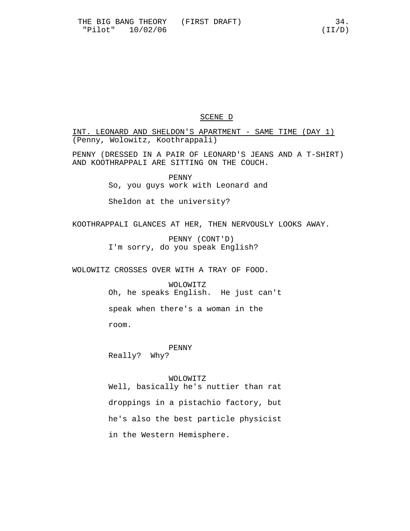# SCENE D

INT. LEONARD AND SHELDON'S APARTMENT - SAME TIME (DAY 1) (Penny, Wolowitz, Koothrappali)

PENNY (DRESSED IN A PAIR OF LEONARD'S JEANS AND A T-SHIRT) AND KOOTHRAPPALI ARE SITTING ON THE COUCH.

> PENNY So, you guys work with Leonard and

Sheldon at the university?

KOOTHRAPPALI GLANCES AT HER, THEN NERVOUSLY LOOKS AWAY.

PENNY (CONT'D) I'm sorry, do you speak English?

WOLOWITZ CROSSES OVER WITH A TRAY OF FOOD.

WOLOWITZ Oh, he speaks English. He just can't speak when there's a woman in the room.

PENNY Really? Why?

#### WOLOWITZ

Well, basically he's nuttier than rat droppings in a pistachio factory, but he's also the best particle physicist in the Western Hemisphere.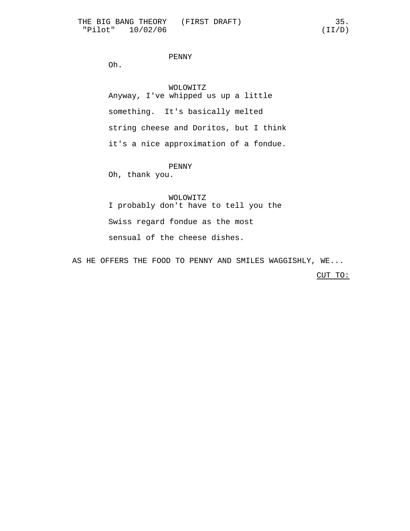# PENNY

Oh.

WOLOWITZ Anyway, I've whipped us up a little something. It's basically melted string cheese and Doritos, but I think it's a nice approximation of a fondue.

PENNY

Oh, thank you.

#### WOLOWITZ

I probably don't have to tell you the Swiss regard fondue as the most sensual of the cheese dishes.

AS HE OFFERS THE FOOD TO PENNY AND SMILES WAGGISHLY, WE...

CUT TO: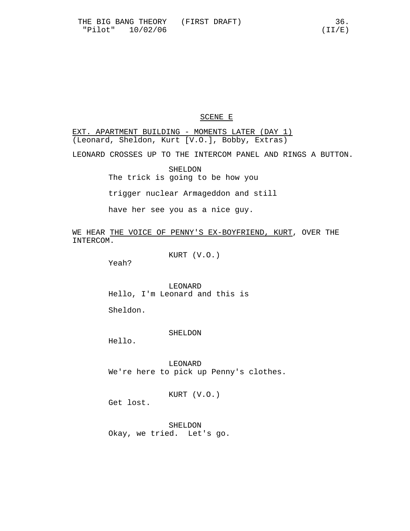## SCENE E

EXT. APARTMENT BUILDING - MOMENTS LATER (DAY 1) (Leonard, Sheldon, Kurt [V.O.], Bobby, Extras) LEONARD CROSSES UP TO THE INTERCOM PANEL AND RINGS A BUTTON. SHELDON The trick is going to be how you

trigger nuclear Armageddon and still

have her see you as a nice guy.

WE HEAR THE VOICE OF PENNY'S EX-BOYFRIEND, KURT, OVER THE INTERCOM.

KURT (V.O.)

Yeah?

LEONARD Hello, I'm Leonard and this is

Sheldon.

SHELDON

Hello.

LEONARD We're here to pick up Penny's clothes.

KURT (V.O.)

Get lost.

SHELDON Okay, we tried. Let's go.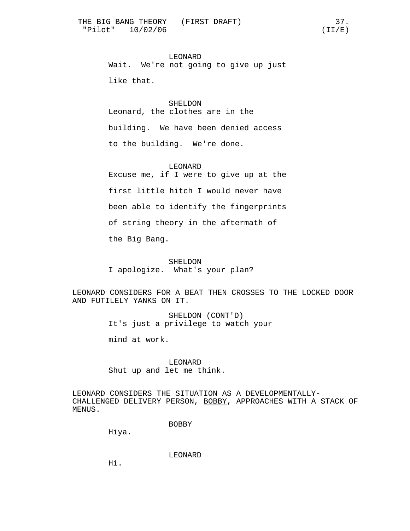LEONARD Wait. We're not going to give up just like that.

SHELDON Leonard, the clothes are in the building. We have been denied access to the building. We're done.

LEONARD Excuse me, if I were to give up at the first little hitch I would never have been able to identify the fingerprints

of string theory in the aftermath of

the Big Bang.

SHELDON I apologize. What's your plan?

LEONARD CONSIDERS FOR A BEAT THEN CROSSES TO THE LOCKED DOOR AND FUTILELY YANKS ON IT.

> SHELDON (CONT'D) It's just a privilege to watch your

mind at work.

LEONARD Shut up and let me think.

LEONARD CONSIDERS THE SITUATION AS A DEVELOPMENTALLY-CHALLENGED DELIVERY PERSON, BOBBY, APPROACHES WITH A STACK OF MENUS.

BOBBY

Hiya.

LEONARD

Hi.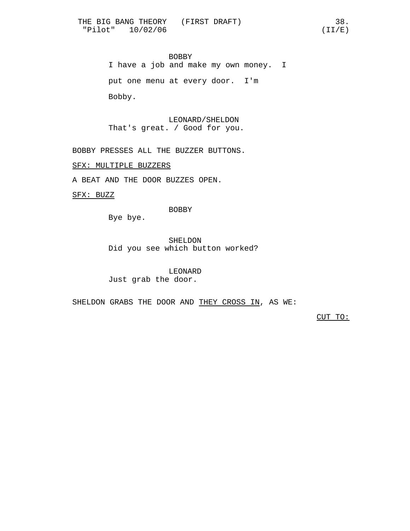BOBBY I have a job and make my own money. I put one menu at every door. I'm Bobby.

LEONARD/SHELDON That's great. / Good for you.

BOBBY PRESSES ALL THE BUZZER BUTTONS.

SFX: MULTIPLE BUZZERS

A BEAT AND THE DOOR BUZZES OPEN.

SFX: BUZZ

BOBBY

Bye bye.

SHELDON Did you see which button worked?

LEONARD Just grab the door.

SHELDON GRABS THE DOOR AND THEY CROSS IN, AS WE:

CUT TO: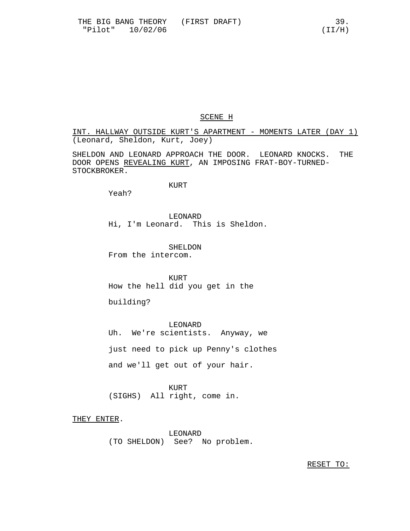# SCENE H

INT. HALLWAY OUTSIDE KURT'S APARTMENT - MOMENTS LATER (DAY 1) (Leonard, Sheldon, Kurt, Joey)

SHELDON AND LEONARD APPROACH THE DOOR. LEONARD KNOCKS. THE DOOR OPENS REVEALING KURT, AN IMPOSING FRAT-BOY-TURNED-STOCKBROKER.

# KURT

Yeah?

LEONARD Hi, I'm Leonard. This is Sheldon.

SHELDON From the intercom.

**KURT** How the hell did you get in the

building?

LEONARD Uh. We're scientists. Anyway, we just need to pick up Penny's clothes and we'll get out of your hair.

KURT (SIGHS) All right, come in.

THEY ENTER.

LEONARD (TO SHELDON) See? No problem.

RESET TO: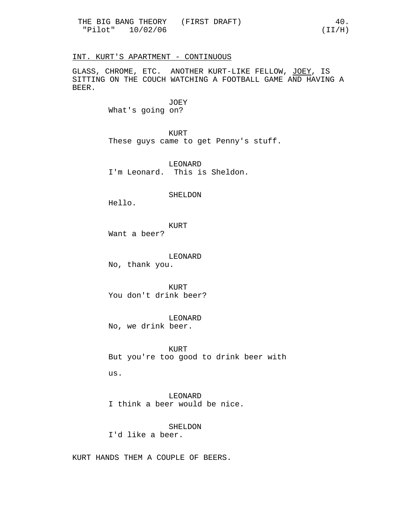## INT. KURT'S APARTMENT - CONTINUOUS

GLASS, CHROME, ETC. ANOTHER KURT-LIKE FELLOW, JOEY, IS SITTING ON THE COUCH WATCHING A FOOTBALL GAME AND HAVING A BEER.

> JOEY What's going on?

KURT These guys came to get Penny's stuff.

LEONARD I'm Leonard. This is Sheldon.

#### SHELDON

Hello.

KURT Want a beer?

LEONARD No, thank you.

KURT You don't drink beer?

LEONARD No, we drink beer.

KURT But you're too good to drink beer with us.

LEONARD I think a beer would be nice.

SHELDON I'd like a beer.

KURT HANDS THEM A COUPLE OF BEERS.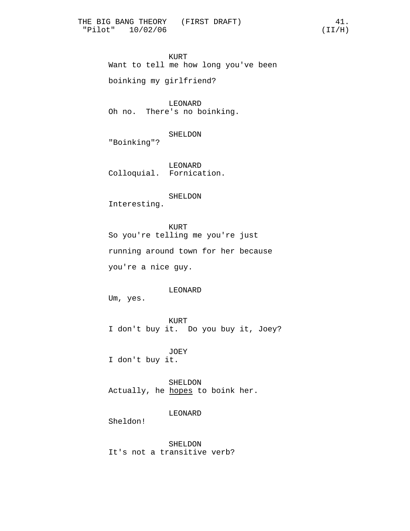KURT Want to tell me how long you've been

boinking my girlfriend?

LEONARD Oh no. There's no boinking.

SHELDON

"Boinking"?

LEONARD Colloquial. Fornication.

SHELDON

Interesting.

KURT So you're telling me you're just running around town for her because you're a nice guy.

LEONARD

Um, yes.

KURT I don't buy it. Do you buy it, Joey?

JOEY I don't buy it.

SHELDON Actually, he hopes to boink her.

LEONARD

Sheldon!

SHELDON It's not a transitive verb?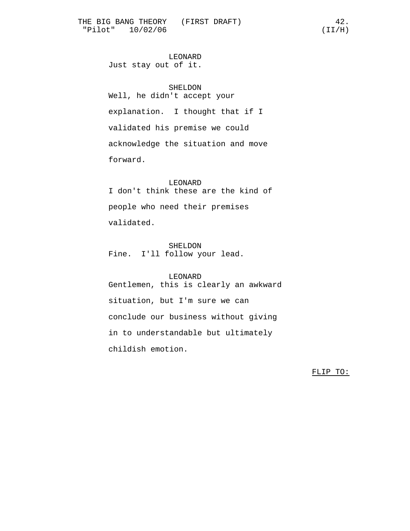LEONARD Just stay out of it.

SHELDON Well, he didn't accept your explanation. I thought that if I validated his premise we could acknowledge the situation and move forward.

LEONARD I don't think these are the kind of people who need their premises validated.

SHELDON Fine. I'll follow your lead.

#### LEONARD

Gentlemen, this is clearly an awkward situation, but I'm sure we can conclude our business without giving in to understandable but ultimately childish emotion.

FLIP TO: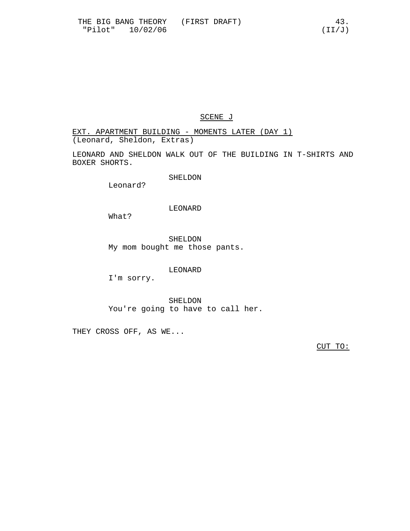# SCENE J

EXT. APARTMENT BUILDING - MOMENTS LATER (DAY 1) (Leonard, Sheldon, Extras)

LEONARD AND SHELDON WALK OUT OF THE BUILDING IN T-SHIRTS AND BOXER SHORTS.

SHELDON

Leonard?

# LEONARD

What?

SHELDON My mom bought me those pants.

# LEONARD

I'm sorry.

SHELDON You're going to have to call her.

THEY CROSS OFF, AS WE...

CUT TO: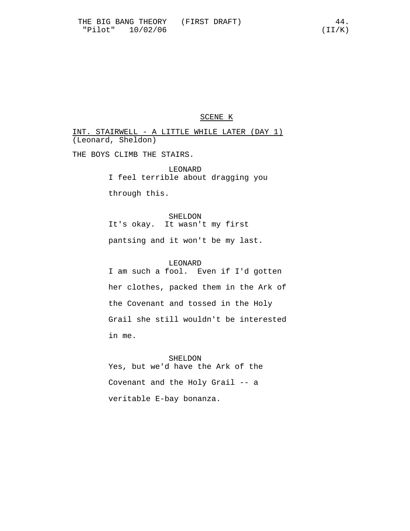# SCENE K

INT. STAIRWELL - A LITTLE WHILE LATER (DAY 1) (Leonard, Sheldon)

THE BOYS CLIMB THE STAIRS.

LEONARD I feel terrible about dragging you

through this.

SHELDON It's okay. It wasn't my first pantsing and it won't be my last.

LEONARD I am such a fool. Even if I'd gotten her clothes, packed them in the Ark of the Covenant and tossed in the Holy Grail she still wouldn't be interested in me.

SHELDON Yes, but we'd have the Ark of the Covenant and the Holy Grail -- a veritable E-bay bonanza.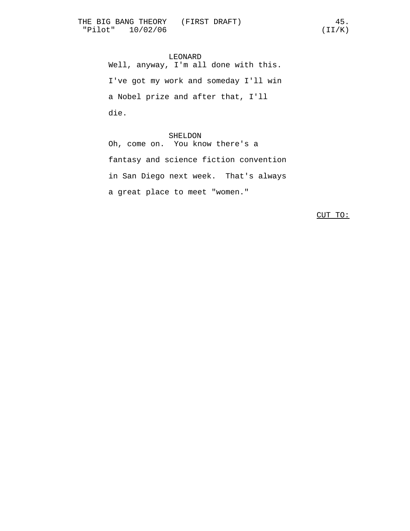LEONARD Well, anyway, I'm all done with this. I've got my work and someday I'll win a Nobel prize and after that, I'll die.

## SHELDON

Oh, come on. You know there's a fantasy and science fiction convention in San Diego next week. That's always a great place to meet "women."

CUT TO: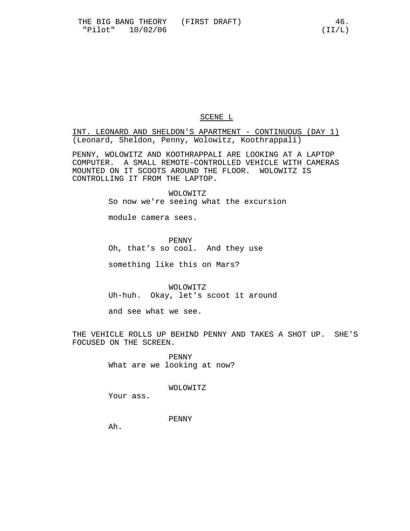# SCENE L

INT. LEONARD AND SHELDON'S APARTMENT - CONTINUOUS (DAY 1) (Leonard, Sheldon, Penny, Wolowitz, Koothrappali)

PENNY, WOLOWITZ AND KOOTHRAPPALI ARE LOOKING AT A LAPTOP COMPUTER. A SMALL REMOTE-CONTROLLED VEHICLE WITH CAMERAS MOUNTED ON IT SCOOTS AROUND THE FLOOR. WOLOWITZ IS CONTROLLING IT FROM THE LAPTOP.

> WOLOWITZ So now we're seeing what the excursion

module camera sees.

PENNY Oh, that's so cool. And they use

something like this on Mars?

WOLOWITZ Uh-huh. Okay, let's scoot it around

and see what we see.

THE VEHICLE ROLLS UP BEHIND PENNY AND TAKES A SHOT UP. SHE'S FOCUSED ON THE SCREEN.

> PENNY What are we looking at now?

> > WOLOWITZ

Your ass.

PENNY

Ah.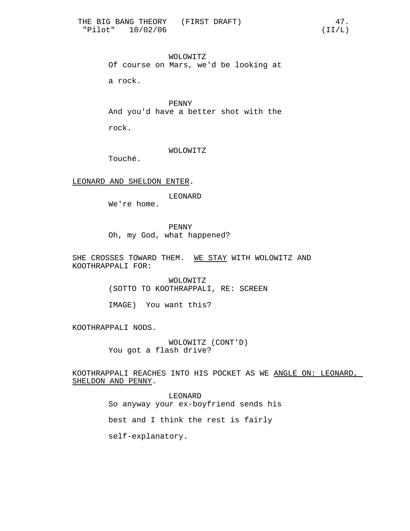WOLOWITZ Of course on Mars, we'd be looking at

a rock.

PENNY And you'd have a better shot with the rock.

WOLOWITZ

Touché.

LEONARD AND SHELDON ENTER.

LEONARD

We're home.

PENNY Oh, my God, what happened?

SHE CROSSES TOWARD THEM. WE STAY WITH WOLOWITZ AND KOOTHRAPPALI FOR:

> WOLOWITZ (SOTTO TO KOOTHRAPPALI, RE: SCREEN

IMAGE) You want this?

KOOTHRAPPALI NODS.

WOLOWITZ (CONT'D) You got a flash drive?

KOOTHRAPPALI REACHES INTO HIS POCKET AS WE ANGLE ON: LEONARD, SHELDON AND PENNY.

> LEONARD So anyway your ex-boyfriend sends his best and I think the rest is fairly self-explanatory.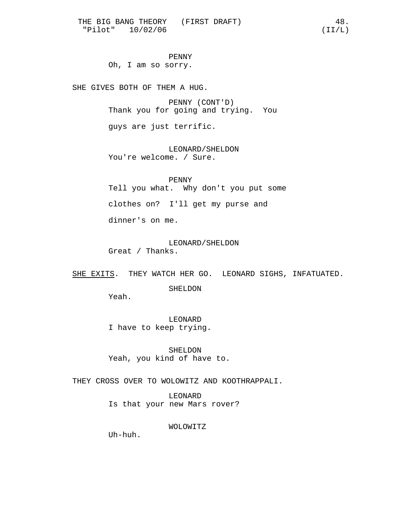PENNY Oh, I am so sorry.

SHE GIVES BOTH OF THEM A HUG.

PENNY (CONT'D) Thank you for going and trying. You

guys are just terrific.

LEONARD/SHELDON You're welcome. / Sure.

PENNY Tell you what. Why don't you put some clothes on? I'll get my purse and dinner's on me.

LEONARD/SHELDON Great / Thanks.

SHE EXITS. THEY WATCH HER GO. LEONARD SIGHS, INFATUATED.

SHELDON

Yeah.

LEONARD I have to keep trying.

SHELDON Yeah, you kind of have to.

THEY CROSS OVER TO WOLOWITZ AND KOOTHRAPPALI.

LEONARD Is that your new Mars rover?

WOLOWITZ

Uh-huh.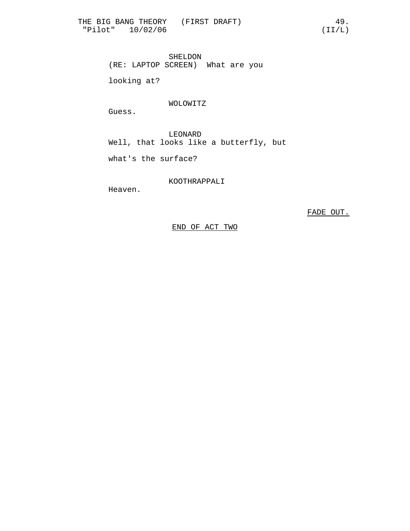SHELDON (RE: LAPTOP SCREEN) What are you

looking at?

# WOLOWITZ

Guess.

LEONARD Well, that looks like a butterfly, but

what's the surface?

KOOTHRAPPALI

Heaven.

FADE OUT.

END OF ACT TWO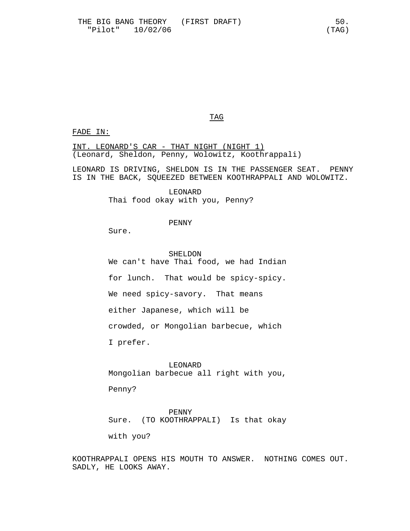TAG

## FADE IN:

INT. LEONARD'S CAR - THAT NIGHT (NIGHT 1) (Leonard, Sheldon, Penny, Wolowitz, Koothrappali)

LEONARD IS DRIVING, SHELDON IS IN THE PASSENGER SEAT. PENNY IS IN THE BACK, SQUEEZED BETWEEN KOOTHRAPPALI AND WOLOWITZ.

> LEONARD Thai food okay with you, Penny?

# PENNY

Sure.

SHELDON We can't have Thai food, we had Indian for lunch. That would be spicy-spicy. We need spicy-savory. That means either Japanese, which will be crowded, or Mongolian barbecue, which I prefer.

LEONARD Mongolian barbecue all right with you,

Penny?

PENNY Sure. (TO KOOTHRAPPALI) Is that okay

with you?

KOOTHRAPPALI OPENS HIS MOUTH TO ANSWER. NOTHING COMES OUT. SADLY, HE LOOKS AWAY.